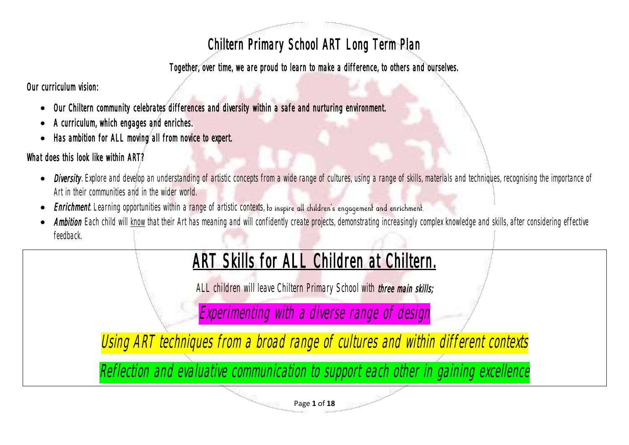## Chiltern Primary School ART Long Term Plan

Together, over time, we are proud to learn to make a difference, to others and ourselves.

Our curriculum vision:

- Our Chiltern community celebrates differences and diversity within a safe and nurturing environment.
- A curriculum, which engages and enriches.
- Has ambition for ALL moving all from novice to expert.

## What does this look like within ART?

- **Diversity**. Explore and develop an understanding of artistic concepts from a wide range of cultures, using a range of skills, materials and techniques, recognising the importance of Art in their communities and in the wider world.
- Enrichment. Learning opportunities within a range of artistic contexts, to inspire all children's engagement and enrichment.
- Ambition Each child will know that their Art has meaning and will confidently create projects, demonstrating increasingly complex knowledge and skills, after considering effective feedback.

## ART Skills for ALL Children at Chiltern.

ALL children will leave Chiltern Primary School with three main skills;

Experimenting with <sup>a</sup> diverse range of design

Using ART techniques from a broad range of cultures and within different contexts

Reflection and evaluative communication to support each other in gaining excellence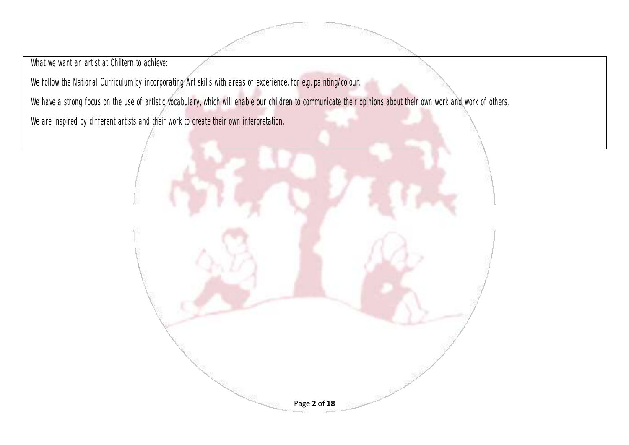What we want an artist at Chiltern to achieve:

We follow the National Curriculum by incorporating Art skills with areas of experience, for e.g. painting/colour.

We have a strong focus on the use of artistic vocabulary, which will enable our children to communicate their opinions about their own work and work of others,

We are inspired by different artists and their work to create their own interpretation.

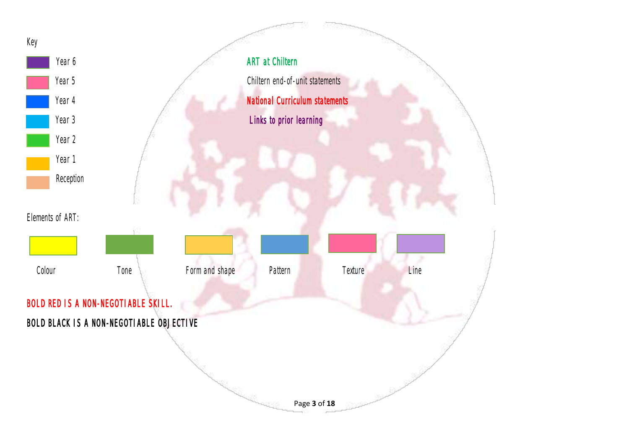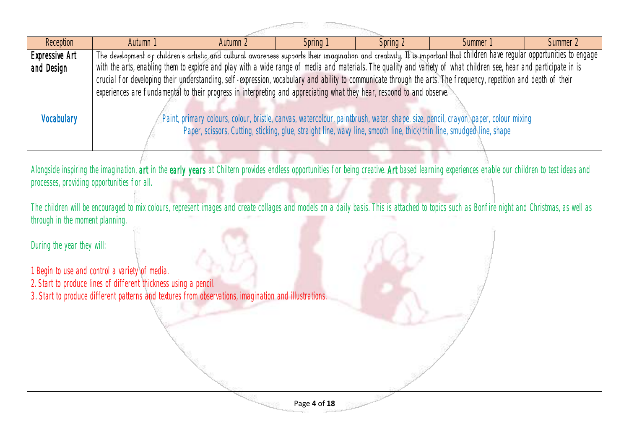## **Communication**

| Reception                       | Autumn 1                                                                                                                                                                                        | Autumn 2                                                                                                                                                                    | Spring 1 | Spring 2 | Summer 1                                                                                                                           | Summer 2 |  |  |  |
|---------------------------------|-------------------------------------------------------------------------------------------------------------------------------------------------------------------------------------------------|-----------------------------------------------------------------------------------------------------------------------------------------------------------------------------|----------|----------|------------------------------------------------------------------------------------------------------------------------------------|----------|--|--|--|
| Expressive Art                  |                                                                                                                                                                                                 | The development of children's artistic and cultural awareness supports their imagination and creativity. It is important that Children have regular opportunities to engage |          |          |                                                                                                                                    |          |  |  |  |
| and Design                      |                                                                                                                                                                                                 | with the arts, enabling them to explore and play with a wide range of media and materials. The quality and variety of what children see, hear and participate in is         |          |          |                                                                                                                                    |          |  |  |  |
|                                 | crucial for developing their understanding, self-expression, vocabulary and ability to communicate through the arts. The frequency, repetition and depth of their                               |                                                                                                                                                                             |          |          |                                                                                                                                    |          |  |  |  |
|                                 | experiences are fundamental to their progress in interpreting and appreciating what they hear, respond to and observe.                                                                          |                                                                                                                                                                             |          |          |                                                                                                                                    |          |  |  |  |
|                                 |                                                                                                                                                                                                 |                                                                                                                                                                             |          |          |                                                                                                                                    |          |  |  |  |
| Vocabulary                      |                                                                                                                                                                                                 |                                                                                                                                                                             |          |          | Paint, primary colours, colour, bristle, canvas, watercolour, paintbrush, water, shape, size, pencil, crayon, paper, colour mixing |          |  |  |  |
|                                 |                                                                                                                                                                                                 | Paper, scissors, Cutting, sticking, glue, straight line, wavy line, smooth line, thick/thin line, smudged line, shape                                                       |          |          |                                                                                                                                    |          |  |  |  |
|                                 |                                                                                                                                                                                                 |                                                                                                                                                                             |          |          |                                                                                                                                    |          |  |  |  |
|                                 |                                                                                                                                                                                                 |                                                                                                                                                                             |          |          |                                                                                                                                    |          |  |  |  |
|                                 | Alongside inspiring the imagination, art in the early years at Chiltern provides endless opportunities for being creative. Art based learning experiences enable our children to test ideas and |                                                                                                                                                                             |          |          |                                                                                                                                    |          |  |  |  |
|                                 | processes, providing opportunities for all.                                                                                                                                                     |                                                                                                                                                                             |          |          |                                                                                                                                    |          |  |  |  |
|                                 |                                                                                                                                                                                                 |                                                                                                                                                                             |          |          |                                                                                                                                    |          |  |  |  |
|                                 | The children will be encouraged to mix colours, represent images and create collages and models on a daily basis. This is attached to topics such as Bonfire night and Christmas, as well as    |                                                                                                                                                                             |          |          |                                                                                                                                    |          |  |  |  |
| through in the moment planning. |                                                                                                                                                                                                 |                                                                                                                                                                             |          |          |                                                                                                                                    |          |  |  |  |
| During the year they will:      |                                                                                                                                                                                                 |                                                                                                                                                                             |          |          |                                                                                                                                    |          |  |  |  |
|                                 |                                                                                                                                                                                                 |                                                                                                                                                                             |          |          |                                                                                                                                    |          |  |  |  |
|                                 | 1. Begin to use and control a variety of media.                                                                                                                                                 |                                                                                                                                                                             |          |          |                                                                                                                                    |          |  |  |  |
|                                 | 2. Start to produce lines of different thickness using a pencil.                                                                                                                                |                                                                                                                                                                             |          |          |                                                                                                                                    |          |  |  |  |
|                                 | 3. Start to produce different patterns and textures from observations, imagination and illustrations.                                                                                           |                                                                                                                                                                             |          |          |                                                                                                                                    |          |  |  |  |
|                                 |                                                                                                                                                                                                 |                                                                                                                                                                             |          |          |                                                                                                                                    |          |  |  |  |
|                                 |                                                                                                                                                                                                 |                                                                                                                                                                             |          |          |                                                                                                                                    |          |  |  |  |
|                                 |                                                                                                                                                                                                 |                                                                                                                                                                             |          |          |                                                                                                                                    |          |  |  |  |
|                                 |                                                                                                                                                                                                 |                                                                                                                                                                             |          |          |                                                                                                                                    |          |  |  |  |
|                                 |                                                                                                                                                                                                 |                                                                                                                                                                             |          |          |                                                                                                                                    |          |  |  |  |
|                                 |                                                                                                                                                                                                 |                                                                                                                                                                             |          |          |                                                                                                                                    |          |  |  |  |
|                                 |                                                                                                                                                                                                 |                                                                                                                                                                             |          |          |                                                                                                                                    |          |  |  |  |
|                                 |                                                                                                                                                                                                 |                                                                                                                                                                             |          |          |                                                                                                                                    |          |  |  |  |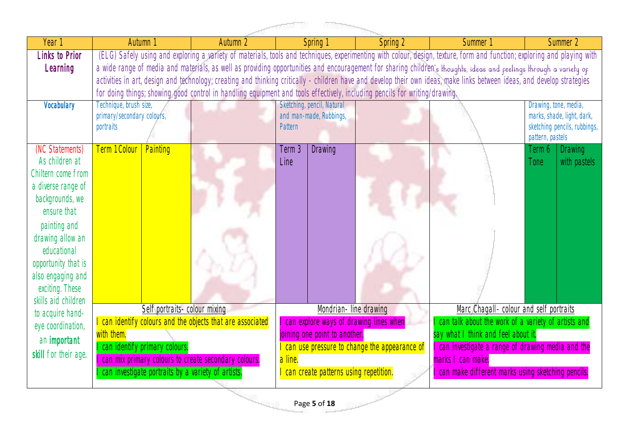| Year 1                                 | Autumn 1                                                                                                                                                                 | Autumn 2                                                                                           |         | Spring <sup>-</sup>        | Spring 2                               | Summer 1                                                                                                                                                                 | Summer 2                                                   |  |  |
|----------------------------------------|--------------------------------------------------------------------------------------------------------------------------------------------------------------------------|----------------------------------------------------------------------------------------------------|---------|----------------------------|----------------------------------------|--------------------------------------------------------------------------------------------------------------------------------------------------------------------------|------------------------------------------------------------|--|--|
| <b>Links to Prior</b>                  |                                                                                                                                                                          |                                                                                                    |         |                            |                                        | (ELG) Safely using and exploring a variety of materials, tools and techniques, experimenting with colour, design, texture, form and function; exploring and playing with |                                                            |  |  |
| Learning                               | a wide range of media and materials, as well as providing opportunities and encouragement for sharing children's thoughts, ideas and peelings through a variety op       |                                                                                                    |         |                            |                                        |                                                                                                                                                                          |                                                            |  |  |
|                                        | activities in art, design and technology; creating and thinking critically - children have and develop their own ideas, make links between ideas, and develop strategies |                                                                                                    |         |                            |                                        |                                                                                                                                                                          |                                                            |  |  |
|                                        | for doing things; showing good control in handling equipment and tools effectively, including pencils for writing/drawing.                                               |                                                                                                    |         |                            |                                        |                                                                                                                                                                          |                                                            |  |  |
| Vocabulary                             | Technique, brush size,                                                                                                                                                   |                                                                                                    |         | Sketching, pencil, Natural |                                        |                                                                                                                                                                          | Drawing, tone, media,                                      |  |  |
|                                        | primary/secondary colours,<br>portraits                                                                                                                                  |                                                                                                    | Pattern | and man-made, Rubbings,    |                                        |                                                                                                                                                                          | marks, shade, light, dark,<br>sketching pencils, rubbings, |  |  |
|                                        |                                                                                                                                                                          |                                                                                                    |         |                            |                                        |                                                                                                                                                                          | pattern, pastels                                           |  |  |
| (NC Statements)                        | Term 1 Colour<br>Painting                                                                                                                                                |                                                                                                    | Term 3  | <b>Drawing</b>             |                                        |                                                                                                                                                                          | <b>Drawing</b><br>Term 6                                   |  |  |
| As children at                         |                                                                                                                                                                          |                                                                                                    | Line    |                            |                                        |                                                                                                                                                                          | with pastels<br>Tone                                       |  |  |
| Chiltern come from                     |                                                                                                                                                                          |                                                                                                    |         |                            |                                        |                                                                                                                                                                          |                                                            |  |  |
| a diverse range of                     |                                                                                                                                                                          |                                                                                                    |         |                            |                                        |                                                                                                                                                                          |                                                            |  |  |
| backgrounds, we                        |                                                                                                                                                                          |                                                                                                    |         |                            |                                        |                                                                                                                                                                          |                                                            |  |  |
| ensure that                            |                                                                                                                                                                          |                                                                                                    |         |                            |                                        |                                                                                                                                                                          |                                                            |  |  |
| painting and                           |                                                                                                                                                                          |                                                                                                    |         |                            |                                        |                                                                                                                                                                          |                                                            |  |  |
| drawing allow an                       |                                                                                                                                                                          |                                                                                                    |         |                            |                                        |                                                                                                                                                                          |                                                            |  |  |
| educational                            |                                                                                                                                                                          |                                                                                                    |         |                            |                                        |                                                                                                                                                                          |                                                            |  |  |
| opportunity that is                    |                                                                                                                                                                          |                                                                                                    |         |                            |                                        |                                                                                                                                                                          |                                                            |  |  |
| also engaging and                      |                                                                                                                                                                          |                                                                                                    |         |                            |                                        |                                                                                                                                                                          |                                                            |  |  |
| exciting. These<br>skills aid children |                                                                                                                                                                          |                                                                                                    |         |                            |                                        |                                                                                                                                                                          |                                                            |  |  |
| to acquire hand-                       | Self portraits- colour mixing                                                                                                                                            |                                                                                                    |         | Mondrian-line drawing      |                                        | Marc Chagall - colour and self portraits                                                                                                                                 |                                                            |  |  |
| eye coordination,                      | I can identify colours and the objects that are associated                                                                                                               |                                                                                                    |         |                            | can explore ways of drawing lines when | can talk about the work of a variety of artists and                                                                                                                      |                                                            |  |  |
| an important                           | with them.<br>say what I think and feel about it.<br>joining one point to another.                                                                                       |                                                                                                    |         |                            |                                        |                                                                                                                                                                          |                                                            |  |  |
| skill for their age.                   | can identify primary colours.                                                                                                                                            | I can investigate a range of drawing media and the<br>can use pressure to change the appearance of |         |                            |                                        |                                                                                                                                                                          |                                                            |  |  |
|                                        |                                                                                                                                                                          | can mix primary colours to create secondary colours.<br>a line.<br>marks I can make.               |         |                            |                                        |                                                                                                                                                                          |                                                            |  |  |
|                                        | l can create patterns using repetition.<br>can make different marks using sketching pencils.<br>can investigate portraits by a variety of artists.                       |                                                                                                    |         |                            |                                        |                                                                                                                                                                          |                                                            |  |  |
|                                        |                                                                                                                                                                          |                                                                                                    |         |                            |                                        |                                                                                                                                                                          |                                                            |  |  |
| Page 5 of 18                           |                                                                                                                                                                          |                                                                                                    |         |                            |                                        |                                                                                                                                                                          |                                                            |  |  |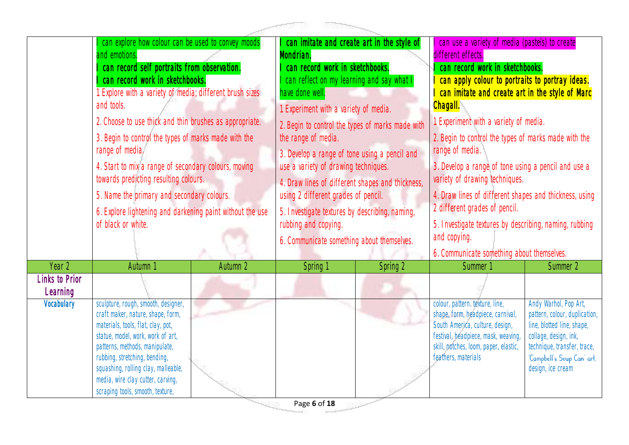|                                   |                                                                                                                                                                                                                                                                                                                                                                                                                                                                                                                                                                                                                |          | - 50000                                                                                                                                                                                                                                                                                                                                                                                                                                                                                                                                                                                   |          |                                                                                                                                                                                                                                                                                                                                                                                                                                                                                                                                                                                                              |                                                                                                                                                                                                 |
|-----------------------------------|----------------------------------------------------------------------------------------------------------------------------------------------------------------------------------------------------------------------------------------------------------------------------------------------------------------------------------------------------------------------------------------------------------------------------------------------------------------------------------------------------------------------------------------------------------------------------------------------------------------|----------|-------------------------------------------------------------------------------------------------------------------------------------------------------------------------------------------------------------------------------------------------------------------------------------------------------------------------------------------------------------------------------------------------------------------------------------------------------------------------------------------------------------------------------------------------------------------------------------------|----------|--------------------------------------------------------------------------------------------------------------------------------------------------------------------------------------------------------------------------------------------------------------------------------------------------------------------------------------------------------------------------------------------------------------------------------------------------------------------------------------------------------------------------------------------------------------------------------------------------------------|-------------------------------------------------------------------------------------------------------------------------------------------------------------------------------------------------|
|                                   | I can explore how colour can be used to convey moods<br>and emotions.<br>I can record self portraits from observation.<br>I can record work in sketchbooks.<br>1. Explore with a variety of media; different brush sizes<br>and tools.<br>2. Choose to use thick and thin brushes as appropriate.<br>3. Begin to control the types of marks made with the<br>range of media.<br>4. Start to mix a range of secondary colours, moving<br>towards predicting resulting colours.<br>5. Name the primary and secondary colours.<br>6. Explore lightening and darkening paint without the use<br>of black or white. |          | can imitate and create art in the style of<br>Mondrian.<br>can record work in sketchbooks.<br>can reflect on my learning and say what<br>have done well.<br>1. Experiment with a variety of media.<br>2. Begin to control the types of marks made with<br>the range of media.<br>3. Develop a range of tone using a pencil and<br>use a variety of drawing techniques.<br>4. Draw lines of different shapes and thickness,<br>using 2 different grades of pencil.<br>5. Investigate textures by describing, naming,<br>rubbing and copying.<br>6. Communicate something about themselves. |          | can use a variety of media (pastels) to create<br>different effects.<br>can record work in sketchbooks.<br>can apply colour to portraits to portray ideas.<br>can imitate and create art in the style of Marc<br>Chagall.<br>1. Experiment with a variety of media.<br>2. Begin to control the types of marks made with the<br>range of media.<br>3. Develop a range of tone using a pencil and use a<br>variety of drawing techniques.<br>4. Draw lines of different shapes and thickness, using<br>2 different grades of pencil.<br>5. Investigate textures by describing, naming, rubbing<br>and copying. |                                                                                                                                                                                                 |
| Year 2                            | Autumn 1                                                                                                                                                                                                                                                                                                                                                                                                                                                                                                                                                                                                       | Autumn 2 | Spring 1                                                                                                                                                                                                                                                                                                                                                                                                                                                                                                                                                                                  | Spring 2 | 6. Communicate something about themselves.<br>Summer <sup>1</sup>                                                                                                                                                                                                                                                                                                                                                                                                                                                                                                                                            | Summer 2                                                                                                                                                                                        |
| <b>Links to Prior</b><br>Learning |                                                                                                                                                                                                                                                                                                                                                                                                                                                                                                                                                                                                                |          |                                                                                                                                                                                                                                                                                                                                                                                                                                                                                                                                                                                           |          |                                                                                                                                                                                                                                                                                                                                                                                                                                                                                                                                                                                                              |                                                                                                                                                                                                 |
| Vocabulary                        | sculpture, rough, smooth, designer,<br>craft maker, nature, shape, form,<br>materials, tools, flat, clay, pot,<br>statue, model, work, work of art,<br>patterns, methods, manipulate,<br>rubbing, stretching, bending,<br>squashing, rolling clay, malleable,<br>media, wire clay cutter, carving,<br>scraping tools, smooth, texture,                                                                                                                                                                                                                                                                         |          |                                                                                                                                                                                                                                                                                                                                                                                                                                                                                                                                                                                           |          | colour, pattern. texture, line,<br>shape, form, headpiece, carnival,<br>South America, culture, design,<br>festival, headpiece, mask, weaving,<br>skill, notches, loom, paper, elastic,<br>feathers, materials                                                                                                                                                                                                                                                                                                                                                                                               | Andy Warhol, Pop Art,<br>pattern, colour, duplication,<br>line, blotted line, shape,<br>collage, design, ink,<br>technique, transfer, trace,<br>'Campbell's Soup Can' art,<br>design, ice cream |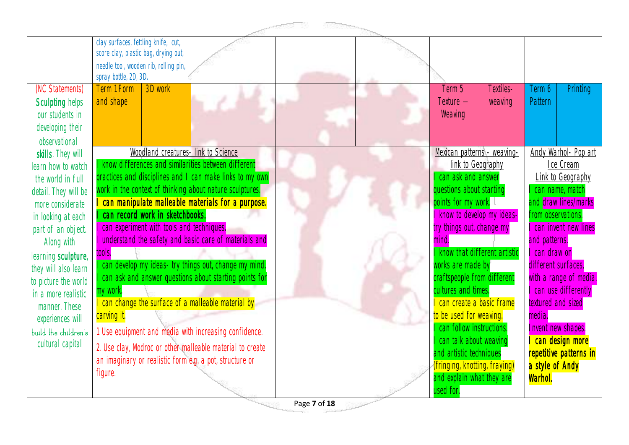|                                                                                                                                                                                                                                                                                                                                                   | clay surfaces, fettling knife, cut,<br>score clay, plastic bag, drying out,<br>needle tool, wooden rib, rolling pin,<br>spray bottle, 2D, 3D.                                                                                                                                                                                                                                                                                                                                                                                                                                                                                                                                                                                                                                                                   |                                                                                                                                                                                                                                                                                                                                                                                                                                                                                      |                                                                                                                                                                                                                                                                                                                                                                                       |
|---------------------------------------------------------------------------------------------------------------------------------------------------------------------------------------------------------------------------------------------------------------------------------------------------------------------------------------------------|-----------------------------------------------------------------------------------------------------------------------------------------------------------------------------------------------------------------------------------------------------------------------------------------------------------------------------------------------------------------------------------------------------------------------------------------------------------------------------------------------------------------------------------------------------------------------------------------------------------------------------------------------------------------------------------------------------------------------------------------------------------------------------------------------------------------|--------------------------------------------------------------------------------------------------------------------------------------------------------------------------------------------------------------------------------------------------------------------------------------------------------------------------------------------------------------------------------------------------------------------------------------------------------------------------------------|---------------------------------------------------------------------------------------------------------------------------------------------------------------------------------------------------------------------------------------------------------------------------------------------------------------------------------------------------------------------------------------|
| (NC Statements)<br>Sculpting helps<br>our students in<br>developing their<br>observational                                                                                                                                                                                                                                                        | 3D work<br><b>Term 1 Form</b><br>and shape                                                                                                                                                                                                                                                                                                                                                                                                                                                                                                                                                                                                                                                                                                                                                                      | Term 5<br>Textiles-<br>Texture -<br>weaving<br>Weaving                                                                                                                                                                                                                                                                                                                                                                                                                               | Printing<br>Term 6<br>Pattern                                                                                                                                                                                                                                                                                                                                                         |
| skills. They will<br>learn how to watch<br>the world in full<br>detail. They will be<br>more considerate<br>in looking at each<br>part of an object.<br>Along with<br>learning sculpture,<br>they will also learn<br>to picture the world<br>in a more realistic<br>manner. These<br>experiences will<br>build the children's<br>cultural capital | Woodland creatures- link to Science<br>know differences and similarities between different<br>practices and disciplines and I can make links to my own<br>work in the context of thinking about nature sculptures.<br>can manipulate malleable materials for a purpose.<br>can record work in sketchbooks.<br>can experiment with tools and techniques.<br>understand the safety and basic care of materials and<br>tools.<br>can develop my ideas- try things out, change my mind.<br>can ask and answer questions about starting points for<br>my work.<br>can change the surface of a malleable material by<br>carving it.<br>1. Use equipment and media with increasing confidence.<br>2. Use clay, Modroc or other malleable material to create<br>an imaginary or realistic form e.g. a pot, structure or | Mexican patterns - weaving-<br>link to Geography<br>can ask and answer<br>questions about starting<br>points for my work.<br>know to develop my ideas-<br>try things out, change my<br>mind.<br>I know that different artistic<br>works are made by<br>craftspeople from different<br>cultures and times.<br>can create a basic frame<br>to be used for weaving.<br>can follow instructions.<br>I can talk about weaving<br>and artistic techniques<br>(fringing, knotting, fraying) | Andy Warhol- Pop art<br>Ice Cream<br>Link to Geography<br>can name, match<br>and draw lines/marks<br>from observations.<br>I can invent new lines<br>and patterns.<br>I can draw on<br>different surfaces,<br>with a range of media.<br>I can use differently<br>textured and sized<br>media.<br>Invent new shapes.<br>I can design more<br>repetitive patterns in<br>a style of Andy |
|                                                                                                                                                                                                                                                                                                                                                   | figure.                                                                                                                                                                                                                                                                                                                                                                                                                                                                                                                                                                                                                                                                                                                                                                                                         | and explain what they are<br>used for.                                                                                                                                                                                                                                                                                                                                                                                                                                               | Warhol.                                                                                                                                                                                                                                                                                                                                                                               |

Page **7** of **18**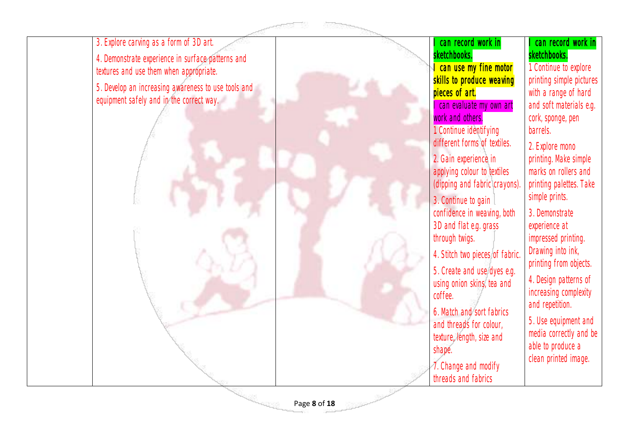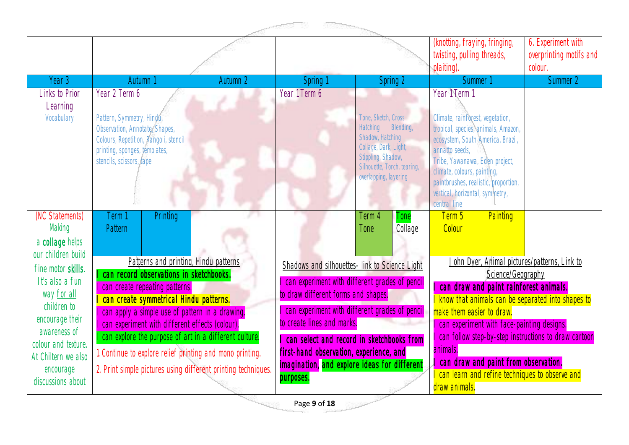|                                                                    |                                                                                                                                                                    |          |                                                                                                                                         |                                                                                                                                                                   | (knotting, fraying, fringing,<br>twisting, pulling threads,<br>plaiting) |                                                                                                                                                                                                                                                                                            | 6. Experiment with<br>overprinting motifs and<br>colour.      |                                                                                                     |
|--------------------------------------------------------------------|--------------------------------------------------------------------------------------------------------------------------------------------------------------------|----------|-----------------------------------------------------------------------------------------------------------------------------------------|-------------------------------------------------------------------------------------------------------------------------------------------------------------------|--------------------------------------------------------------------------|--------------------------------------------------------------------------------------------------------------------------------------------------------------------------------------------------------------------------------------------------------------------------------------------|---------------------------------------------------------------|-----------------------------------------------------------------------------------------------------|
| Year 3                                                             | Autumn <sup>1</sup>                                                                                                                                                | Autumn 2 | Spring 1                                                                                                                                | Spring 2                                                                                                                                                          |                                                                          |                                                                                                                                                                                                                                                                                            | Summer 1                                                      | Summer 2                                                                                            |
| Links to Prior<br>Learning                                         | Year 2 Term 6                                                                                                                                                      |          | Term 6<br>Year 1                                                                                                                        |                                                                                                                                                                   |                                                                          | Year 1 Term 1                                                                                                                                                                                                                                                                              |                                                               |                                                                                                     |
| Vocabulary                                                         | Pattern, Symmetry, Hindu,<br>Observation, Annotate, Shapes,<br>Colours, Repetition, Rangoli, stencil<br>printing, sponges, templates,<br>stencils, scissors, tape  |          |                                                                                                                                         | Tone, Sketch, Cross<br><b>Hatching</b><br>Shadow, Hatching<br>Collage, Dark, Light,<br>Stippling, Shadow,<br>Silhouette, Torch, tearing,<br>overlapping, layering | Blending,                                                                | Climate, rainforest, vegetation,<br>tropical, species, animals, Amazon,<br>ecosystem, South America, Brazil,<br>annatto seeds,<br>Tribe, Yawanawa, Eden project,<br>climate, colours, painting,<br>paintbrushes, realistic, proportion,<br>vertical, horizontal, symmetry,<br>central line |                                                               |                                                                                                     |
| (NC Statements)<br>Making<br>a collage helps<br>our children build | <b>Printing</b><br>Term 1<br>Pattern                                                                                                                               |          |                                                                                                                                         | Term 4<br>Tone                                                                                                                                                    | Tone<br>Collage                                                          | Term 5<br>Colour                                                                                                                                                                                                                                                                           | Painting                                                      |                                                                                                     |
| fine motor skills.<br>It's also a fun<br>way for all               | Patterns and printing, Hindu patterns<br>I can record observations in sketchbooks.<br>can create repeating patterns.<br>can create symmetrical Hindu patterns.     |          | Shadows and silhouettes- link to Science Light<br>can experiment with different grades of pencil<br>to draw different forms and shapes. |                                                                                                                                                                   |                                                                          |                                                                                                                                                                                                                                                                                            | Science/Geography<br>I can draw and paint rainforest animals. | John Dyer, Animal pictures/patterns, Link to<br>I know that animals can be separated into shapes to |
| children to<br>encourage their<br>awareness of                     | I can apply a simple use of pattern in a drawing.<br>I can experiment with different effects (colour).<br>I can explore the purpose of art in a different culture. |          | can experiment with different grades of pencil<br>to create lines and marks.<br>can select and record in sketchbooks from               |                                                                                                                                                                   |                                                                          | make them easier to draw.                                                                                                                                                                                                                                                                  | I can experiment with face-painting designs.                  | I can follow step-by-step instructions to draw cartoon                                              |
| colour and texture.<br>At Chiltern we also<br>encourage            | 1. Continue to explore relief printing and mono printing.<br>2. Print simple pictures using different printing techniques.                                         |          | first-hand observation, experience, and<br>imagination, and explore ideas for different                                                 |                                                                                                                                                                   |                                                                          | animals.                                                                                                                                                                                                                                                                                   | can draw and paint from observation.                          |                                                                                                     |
| discussions about                                                  |                                                                                                                                                                    |          | purposes.                                                                                                                               |                                                                                                                                                                   |                                                                          | draw animals.                                                                                                                                                                                                                                                                              |                                                               | I can learn and refine techniques to observe and                                                    |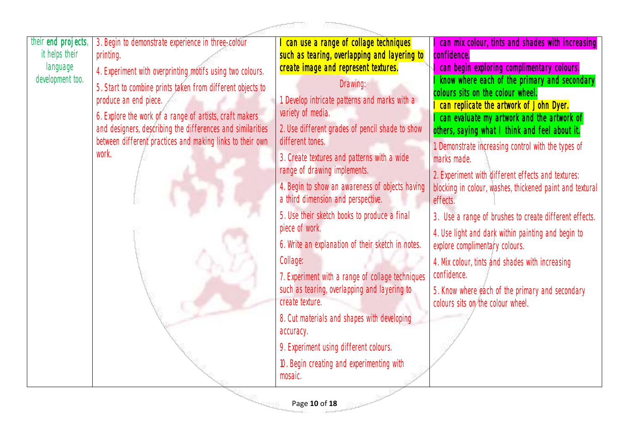| their end projects, | 3. Begin to demonstrate experience in three-colour         | can use a range of collage techniques             | can mix colour, tints and shades with increasing                             |
|---------------------|------------------------------------------------------------|---------------------------------------------------|------------------------------------------------------------------------------|
| it helps their      | printing.                                                  | such as tearing, overlapping and layering to      | confidence.                                                                  |
| language            | 4. Experiment with overprinting motifs using two colours.  | create image and represent textures.              | can begin exploring complimentary colours.                                   |
| development too.    | 5. Start to combine prints taken from different objects to | Drawing:                                          | know where each of the primary and secondary                                 |
|                     | produce an end piece.                                      | Develop intricate patterns and marks with a       | colours sits on the colour wheel.<br>can replicate the artwork of John Dyer. |
|                     | 6. Explore the work of a range of artists, craft makers    | variety of media.                                 | can evaluate my artwork and the artwork of                                   |
|                     | and designers, describing the differences and similarities | 2. Use different grades of pencil shade to show   | others, saying what I think and feel about it.                               |
|                     | between different practices and making links to their own  | different tones.                                  | Demonstrate increasing control with the types of                             |
|                     | work.                                                      | 3. Create textures and patterns with a wide       | marks made.                                                                  |
|                     |                                                            | range of drawing implements.                      | 2. Experiment with different effects and textures:                           |
|                     |                                                            | 4. Begin to show an awareness of objects having   | blocking in colour, washes, thickened paint and textural                     |
|                     |                                                            | a third dimension and perspective.                | effects.                                                                     |
|                     |                                                            | 5. Use their sketch books to produce a final      | 3. Use a range of brushes to create different effects.                       |
|                     |                                                            | piece of work.                                    | 4. Use light and dark within painting and begin to                           |
|                     |                                                            | 6. Write an explanation of their sketch in notes. | explore complimentary colours.                                               |
|                     |                                                            | Collage:                                          | 4. Mix colour, tints and shades with increasing                              |
|                     |                                                            | 7. Experiment with a range of collage techniques  | confidence.                                                                  |
|                     |                                                            | such as tearing, overlapping and layering to      | 5. Know where each of the primary and secondary                              |
|                     |                                                            | create texture.                                   | colours sits on the colour wheel.                                            |
|                     |                                                            | 8. Cut materials and shapes with developing       |                                                                              |
|                     |                                                            | accuracy.                                         |                                                                              |
|                     |                                                            | 9. Experiment using different colours.            |                                                                              |
|                     |                                                            | 10. Begin creating and experimenting with         |                                                                              |
|                     |                                                            | mosaic.                                           |                                                                              |
|                     |                                                            | Page 10 of 18                                     |                                                                              |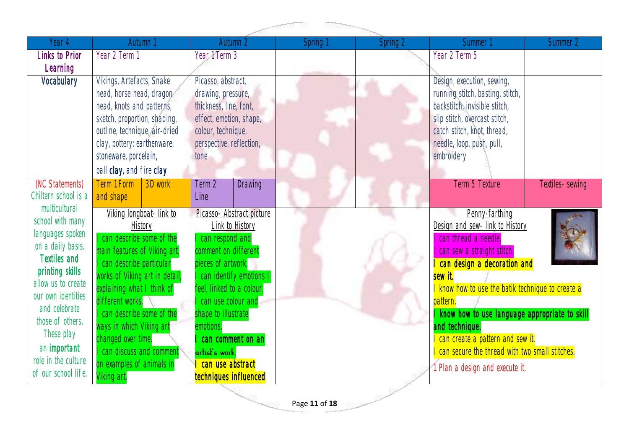| Year 4                | Autumn 1                                        |                          |                           | Autumn 2                  | Spring 1 | Spring 2 | <b>Summer</b>                                   | Summer 2        |
|-----------------------|-------------------------------------------------|--------------------------|---------------------------|---------------------------|----------|----------|-------------------------------------------------|-----------------|
| <b>Links to Prior</b> | Year 2 Term 1                                   |                          | Year 1 Term 3             |                           |          |          | Year 2 Term 5                                   |                 |
| Learning              |                                                 |                          |                           |                           |          |          |                                                 |                 |
| Vocabulary            | Vikings, Artefacts, Snake                       |                          | Picasso, abstract,        |                           |          |          | Design, execution, sewing,                      |                 |
|                       | head, horse head, dragon,                       |                          | drawing, pressure,        |                           |          |          | running stitch, basting, stitch,                |                 |
|                       | head, knots and patterns,                       |                          | thickness, line, font,    |                           |          |          | backstitch, invisible stitch,                   |                 |
|                       | sketch, proportion, shading,                    |                          | effect, emotion, shape,   |                           |          |          | slip stitch, overcast stitch,                   |                 |
|                       | outline, technique, air-dried                   |                          | colour, technique,        |                           |          |          | catch stitch, knot, thread,                     |                 |
|                       | clay, pottery: earthenware,                     |                          | perspective, reflection,  |                           |          |          | needle, loop, push, pull,                       |                 |
|                       | stoneware, porcelain,                           |                          | tone                      |                           |          |          | embroidery                                      |                 |
|                       | ball clay, and fire clay                        |                          |                           |                           |          |          |                                                 |                 |
| (NC Statements)       | Term 1 Form                                     | 3D work                  | Term 2                    | <b>Drawing</b>            |          |          | Term 5 Texture                                  | Textiles-sewing |
| Chiltern school is a  | and shape                                       |                          | Line                      |                           |          |          |                                                 |                 |
| multicultural         |                                                 | Viking longboat- link to |                           | Picasso- Abstract picture |          |          | Penny-farthing                                  |                 |
| school with many      |                                                 | History                  |                           | Link to History           |          |          | Design and sew- link to History                 |                 |
| languages spoken      | can describe some of the                        |                          | can respond and           |                           |          |          | can thread a needle.                            |                 |
| on a daily basis.     | main features of Viking art.                    |                          | comment on different      |                           |          |          | can sew a straight stitch.                      |                 |
| <b>Textiles and</b>   | can describe particular                         |                          | pieces of artwork.        |                           |          |          | can design a decoration and                     |                 |
| printing skills       | works of Viking art in detail,                  |                          | I can identify emotions   |                           |          |          | sew it.                                         |                 |
| allow us to create    | explaining what I think of                      |                          | feel, linked to a colour. |                           |          |          | know how to use the batik technique to create a |                 |
| our own identities    | different works.                                |                          | can use colour and        |                           |          |          | pattern.                                        |                 |
| and celebrate         | can describe some of the                        |                          | shape to illustrate       |                           |          |          | know how to use language appropriate to skill   |                 |
| those of others.      | ways in which Viking art                        |                          | emotions.                 |                           |          |          | and technique.                                  |                 |
| These play            | changed over time.<br>I can discuss and comment |                          |                           | can comment on an         |          |          | can create a pattern and sew it.                |                 |
| an important          |                                                 |                          | artist's work.            |                           |          |          | can secure the thread with two small stitches.  |                 |
| role in the culture   | on examples of animals in                       |                          | can use abstract          |                           |          |          | 1. Plan a design and execute it.                |                 |
| of our school life.   | Viking art.                                     |                          | techniques influenced     |                           |          |          |                                                 |                 |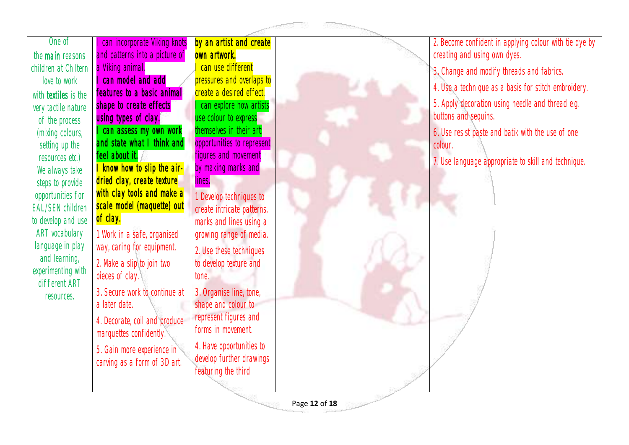|                                   |                                                            |                                                        | action 12<br><b>References</b> |                                                                          |
|-----------------------------------|------------------------------------------------------------|--------------------------------------------------------|--------------------------------|--------------------------------------------------------------------------|
| One of                            | can incorporate Viking knots                               | by an artist and create                                |                                | 2. Become confident in applying colour with tie dye by                   |
| the <b>main</b> reasons           | and patterns into a picture of                             | own artwork.                                           |                                | creating and using own dyes.                                             |
| children at Chiltern              | a Viking animal.                                           | I can use different                                    |                                | 3. Change and modify threads and fabrics.                                |
| love to work                      | can model and add                                          | pressures and overlaps to                              |                                | 4. Use a technique as a basis for stitch embroidery.                     |
| with <b>textiles</b> is the       | features to a basic animal                                 | create a desired effect.                               |                                |                                                                          |
| very tactile nature               | shape to create effects                                    | I can explore how artists                              |                                | 5. Apply decoration using needle and thread e.g.<br>buttons and sequins. |
| of the process                    | using types of clay.                                       | use colour to express                                  |                                |                                                                          |
| (mixing colours,                  | can assess my own work<br>and state what I think and       | themselves in their art:<br>opportunities to represent |                                | 6. Use resist paste and batik with the use of one                        |
| setting up the                    | feel about it.                                             | figures and movement                                   |                                | colour.                                                                  |
| resources etc.)<br>We always take | I know how to slip the air-                                | by making marks and                                    |                                | 7. Use language appropriate to skill and technique.                      |
| steps to provide                  | dried clay, create texture                                 | lines.                                                 |                                |                                                                          |
| opportunities for                 | with clay tools and make a                                 | 1. Develop techniques to                               |                                |                                                                          |
| <b>EAL/SEN children</b>           | scale model (maquette) out                                 | create intricate patterns,                             |                                |                                                                          |
| to develop and use                | of clay.                                                   | marks and lines using a                                |                                |                                                                          |
| ART vocabulary                    | 1. Work in a safe, organised                               | growing range of media.                                |                                |                                                                          |
| language in play                  | way, caring for equipment.                                 | 2. Use these techniques                                |                                |                                                                          |
| and learning,                     | 2. Make a slip to join two                                 | to develop texture and                                 |                                |                                                                          |
| experimenting with                | pieces of clay.                                            | tone.                                                  |                                |                                                                          |
| different ART                     | 3. Secure work to continue at                              | 3. Organise line, tone,                                |                                |                                                                          |
| resources.                        | a later date.                                              | shape and colour to                                    |                                |                                                                          |
|                                   | 4. Decorate, coil and produce                              | represent figures and                                  |                                |                                                                          |
|                                   | marquettes confidently.                                    | forms in movement.                                     |                                |                                                                          |
|                                   |                                                            | 4. Have opportunities to                               |                                |                                                                          |
|                                   | 5. Gain more experience in<br>carving as a form of 3D art. | develop further drawings                               |                                |                                                                          |
|                                   |                                                            | featuring the third                                    |                                |                                                                          |
|                                   |                                                            |                                                        |                                |                                                                          |

Page **12** of **18**

<sup>ma</sup>ruggi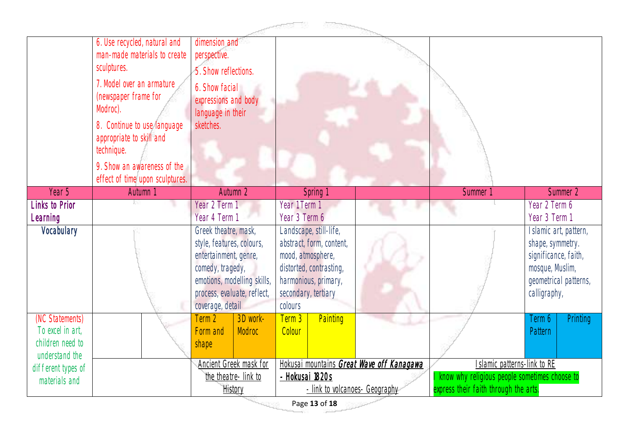|                    | 6. Use recycled, natural and    | dimension and                                   |                                                              |                                                                                |                                       |
|--------------------|---------------------------------|-------------------------------------------------|--------------------------------------------------------------|--------------------------------------------------------------------------------|---------------------------------------|
|                    | man-made materials to create    | perspective.                                    |                                                              |                                                                                |                                       |
|                    | sculptures.                     | 5. Show reflections.                            |                                                              |                                                                                |                                       |
|                    | 7. Model over an armature       | 6. Show facial                                  |                                                              |                                                                                |                                       |
|                    | (newspaper frame for            | expressions and body                            |                                                              |                                                                                |                                       |
|                    | Modroc).                        | language in their                               |                                                              |                                                                                |                                       |
|                    | 8. Continue to use language     | sketches.                                       |                                                              |                                                                                |                                       |
|                    | appropriate to skill and        |                                                 |                                                              |                                                                                |                                       |
|                    | technique.                      |                                                 |                                                              |                                                                                |                                       |
|                    | 9. Show an awareness of the     |                                                 |                                                              |                                                                                |                                       |
|                    | effect of time upon sculptures. |                                                 |                                                              |                                                                                |                                       |
| Year 5             | Autumn 1                        | Autumn 2                                        | Spring 1                                                     | Summer 1                                                                       | Summer 2                              |
| Links to Prior     |                                 | Year 2 Term 1                                   | Year 1 Term 1                                                |                                                                                | Year 2 Term 6                         |
| Learning           |                                 | Year 4 Term 1                                   | Year 3 Term 6                                                |                                                                                | Year 3 Term 1                         |
| Vocabulary         |                                 | Greek theatre, mask,                            | Landscape, still-life,                                       |                                                                                | Islamic art, pattern,                 |
|                    |                                 | style, features, colours,                       | abstract, form, content,                                     |                                                                                | shape, symmetry.                      |
|                    |                                 | entertainment, genre,                           | mood, atmosphere,                                            |                                                                                | significance, faith,                  |
|                    |                                 | comedy, tragedy,<br>emotions, modelling skills, | distorted, contrasting,<br>harmonious, primary,              |                                                                                | mosque, Muslim,                       |
|                    |                                 | process, evaluate, reflect,                     | secondary, tertiary                                          |                                                                                | geometrical patterns,<br>calligraphy, |
|                    |                                 | coverage, detail                                | colours                                                      |                                                                                |                                       |
| (NC Statements)    |                                 | Term 2<br>3D work-                              | Painting<br>Term 3                                           |                                                                                | Printing<br>Term 6                    |
| To excel in art,   |                                 | Modroc<br>Form and                              | Colour                                                       |                                                                                | Pattern                               |
| children need to   |                                 | shape                                           |                                                              |                                                                                |                                       |
| understand the     |                                 |                                                 |                                                              |                                                                                |                                       |
| different types of |                                 | Ancient Greek mask for<br>the theatre-link to   | Hokusai mountains Great Wave off Kanagawa<br>- Hokusai 1820s | Islamic patterns-link to RE<br>I know why religious people sometimes choose to |                                       |
| materials and      |                                 | History                                         | - link to volcanoes- Geography                               | express their faith through the arts.                                          |                                       |
|                    |                                 |                                                 |                                                              |                                                                                |                                       |

Page **13** of **18**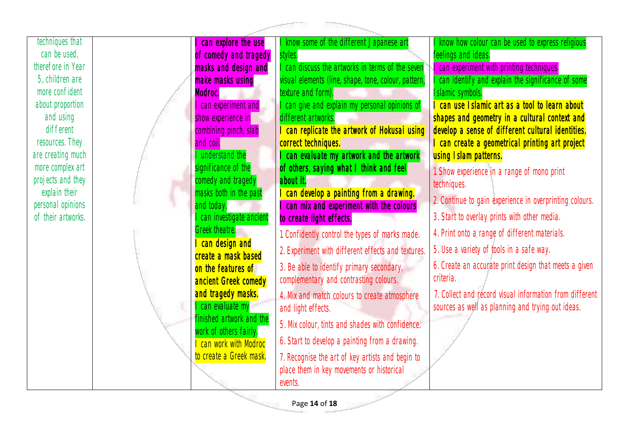

Page **14** of **18**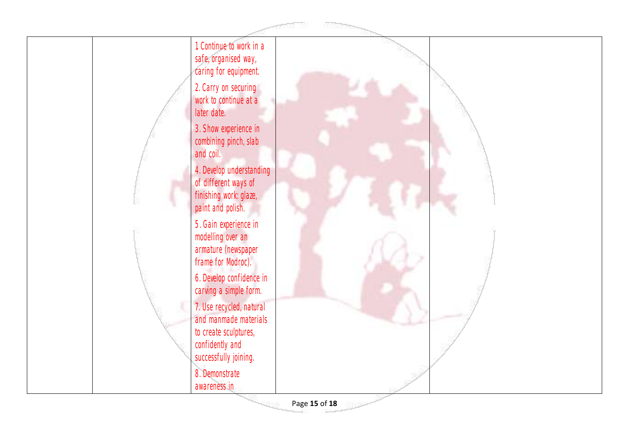

Page **15** of **18**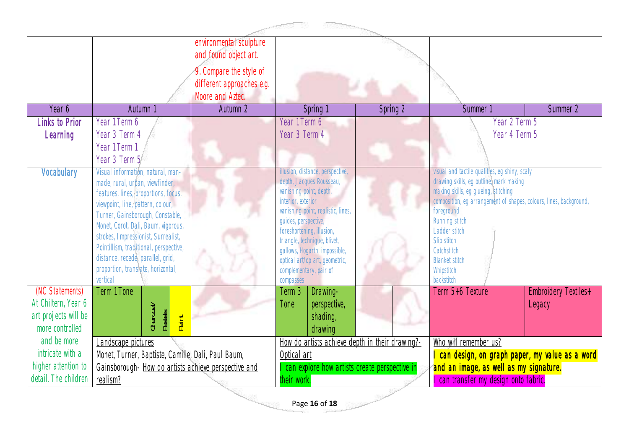|                      |                                                                           | environmental sculpture<br>and found object art.                         |                                                     |          |                                                                                 |                             |
|----------------------|---------------------------------------------------------------------------|--------------------------------------------------------------------------|-----------------------------------------------------|----------|---------------------------------------------------------------------------------|-----------------------------|
|                      |                                                                           | 9. Compare the style of<br>different approaches e.g.<br>Moore and Aztec. |                                                     |          |                                                                                 |                             |
| Year 6               | Autumn 1                                                                  | Autumn <sub>2</sub>                                                      | Spring 1                                            | Spring 2 | Summer 1                                                                        | Summer 2                    |
| Links to Prior       | Year 1 Term 6                                                             |                                                                          | Year 1 Term 6                                       |          | Year 2 Term 5                                                                   |                             |
| Learning             | Year 3 Term 4                                                             |                                                                          | Year 3 Term 4                                       |          | Year 4 Term 5                                                                   |                             |
|                      | Year 1 Term 1                                                             |                                                                          |                                                     |          |                                                                                 |                             |
|                      | Year 3 Term 5                                                             |                                                                          |                                                     |          |                                                                                 |                             |
| Vocabulary           | Visual information, natural, man-                                         |                                                                          | illusion, distance, perspective,                    |          | visual and tactile qualities, eg shiny, scaly                                   |                             |
|                      | made, rural, urban, viewfinder,                                           |                                                                          | depth, Jacques Rousseau,<br>vanishing point, depth, |          | drawing skills, eg outline, mark making<br>making skills, eg glueing, stitching |                             |
|                      | features, lines, proportions, focus,<br>viewpoint, line, pattern, colour, |                                                                          | interior, exterior                                  |          | composition, eg arrangement of shapes, colours, lines, background,              |                             |
|                      | Turner, Gainsborough, Constable,                                          |                                                                          | vanishing point, realistic, lines,                  |          | foreground                                                                      |                             |
|                      | Monet, Corot, Dali, Baum, vigorous,                                       |                                                                          | guides, perspective,<br>foreshortening, illusion,   |          | Running stitch<br>Ladder stitch                                                 |                             |
|                      | strokes, Impressionist, Surrealist,                                       |                                                                          | triangle, technique, blivet,                        |          | Slip stitch                                                                     |                             |
|                      | Pointillism, traditional, perspective,                                    |                                                                          | gallows, Hogarth, impossible,                       |          | Catchstitch                                                                     |                             |
|                      | distance, recede, parallel, grid,<br>proportion, translate, horizontal,   |                                                                          | optical art/op art, geometric,                      |          | <b>Blanket stitch</b>                                                           |                             |
|                      | vertical                                                                  |                                                                          | complementary, pair of<br>compasses                 |          | Whipstitch<br>backstitch                                                        |                             |
| (NC Statements)      | Term 1 Tone                                                               |                                                                          | Drawing-<br>Term 3                                  |          | Term 5+6 Texture                                                                | <b>Embroidery Textiles+</b> |
| At Chiltern, Year 6  |                                                                           |                                                                          | perspective,<br>Tone                                |          |                                                                                 | Legacy                      |
| art projects will be | Charcoal/<br>Pastels                                                      |                                                                          | shading,                                            |          |                                                                                 |                             |
| more controlled      | Paint                                                                     |                                                                          | drawing                                             |          |                                                                                 |                             |
| and be more          | Landscape pictures                                                        |                                                                          | How do artists achieve depth in their drawing?-     |          | Who will remember us?                                                           |                             |
| intricate with a     | Monet, Turner, Baptiste, Camille, Dali, Paul Baum,                        |                                                                          | Optical art                                         |          | can design, on graph paper, my value as a word                                  |                             |
| higher attention to  | Gainsborough- How do artists achieve perspective and                      |                                                                          | I can explore how artists create perspective in     |          | and an image, as well as my signature.                                          |                             |
| detail. The children | realism?                                                                  |                                                                          | their work.                                         |          | can transfer my design onto fabric.                                             |                             |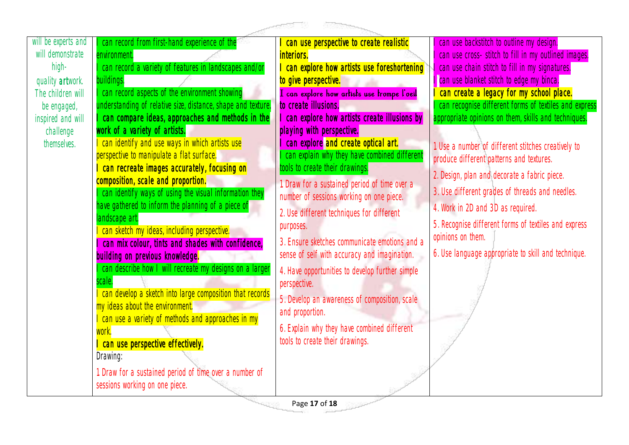|                     |                                                                                              | - 1,000,000                                                      |                                                       |
|---------------------|----------------------------------------------------------------------------------------------|------------------------------------------------------------------|-------------------------------------------------------|
| will be experts and | can record from first-hand experience of the                                                 | can use perspective to create realistic                          | can use backstitch to outline my design.              |
| will demonstrate    | environment.                                                                                 | interiors.                                                       | can use cross- stitch to fill in my outlined images.  |
| high-               | can record a variety of features in landscapes and/or                                        | can explore how artists use foreshortening                       | can use chain stitch to fill in my signatures.        |
| quality artwork.    | buildings.                                                                                   | to give perspective.                                             | I can use blanket stitch to edge my binca.            |
| The children will   | can record aspects of the environment showing                                                | I can explore how artists use trompe l'oeil                      | can create a legacy for my school place.              |
| be engaged,         | understanding of relative size, distance, shape and texture.                                 | to create illusions.                                             | can recognise different forms of textiles and express |
| inspired and will   | can compare ideas, approaches and methods in the                                             | I can explore how artists create illusions by                    | appropriate opinions on them, skills and techniques.  |
| challenge           | work of a variety of artists.                                                                | playing with perspective.                                        |                                                       |
| themselves.         | can identify and use ways in which artists use                                               | can explore and create optical art.                              | 1. Use a number of different stitches creatively to   |
|                     | perspective to manipulate a flat surface.                                                    | can explain why they have combined different                     | produce different patterns and textures.              |
|                     | can recreate images accurately, focusing on                                                  | ools to create their drawings.                                   | 2. Design, plan and decorate a fabric piece.          |
|                     | composition, scale and proportion.<br>can identify ways of using the visual information they | 1. Draw for a sustained period of time over a                    | 3. Use different grades of threads and needles.       |
|                     | have gathered to inform the planning of a piece of                                           | number of sessions working on one piece.                         |                                                       |
|                     | landscape art.                                                                               | 2. Use different techniques for different                        | 4. Work in 2D and 3D as required.                     |
|                     | can sketch my ideas, including perspective.                                                  | purposes.                                                        | 5. Recognise different forms of textiles and express  |
|                     | can mix colour, tints and shades with confidence,                                            | 3. Ensure sketches communicate emotions and a                    | opinions on them.                                     |
|                     | building on previous knowledge.                                                              | sense of self with accuracy and imagination.                     | 6. Use language appropriate to skill and technique.   |
|                     | can describe how I will recreate my designs on a larger                                      | 4. Have opportunities to develop further simple                  |                                                       |
|                     | scale.                                                                                       | perspective.                                                     |                                                       |
|                     | can develop a sketch into large composition that records                                     |                                                                  |                                                       |
|                     | my ideas about the environment.                                                              | 5. Develop an awareness of composition, scale<br>and proportion. |                                                       |
|                     | can use a variety of methods and approaches in my                                            |                                                                  |                                                       |
|                     | work.                                                                                        | 6. Explain why they have combined different                      |                                                       |
|                     | can use perspective effectively.                                                             | tools to create their drawings.                                  |                                                       |
|                     | Drawing:                                                                                     |                                                                  |                                                       |
|                     | 1. Draw for a sustained period of time over a number of                                      |                                                                  |                                                       |
|                     | sessions working on one piece.                                                               |                                                                  |                                                       |
|                     |                                                                                              |                                                                  |                                                       |

Page **17** of **18**